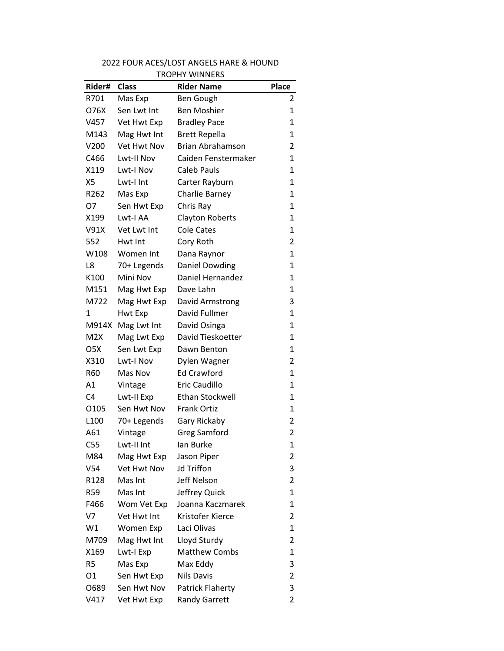| I ROPHY WINNERS  |              |                         |                |  |
|------------------|--------------|-------------------------|----------------|--|
| Rider#           | <b>Class</b> | <b>Rider Name</b>       | <b>Place</b>   |  |
| R701             | Mas Exp      | Ben Gough               | 2              |  |
| O76X             | Sen Lwt Int  | <b>Ben Moshier</b>      | 1              |  |
| V457             | Vet Hwt Exp  | <b>Bradley Pace</b>     | 1              |  |
| M143             | Mag Hwt Int  | <b>Brett Repella</b>    | 1              |  |
| V200             | Vet Hwt Nov  | <b>Brian Abrahamson</b> | $\overline{2}$ |  |
| C466             | Lwt-II Nov   | Caiden Fenstermaker     | 1              |  |
| X119             | Lwt-I Nov    | <b>Caleb Pauls</b>      | 1              |  |
| X5               | Lwt-I Int    | Carter Rayburn          | 1              |  |
| R <sub>262</sub> | Mas Exp      | Charlie Barney          | 1              |  |
| 07               | Sen Hwt Exp  | Chris Ray               | 1              |  |
| X199             | Lwt-I AA     | <b>Clayton Roberts</b>  | 1              |  |
| V91X             | Vet Lwt Int  | <b>Cole Cates</b>       | 1              |  |
| 552              | Hwt Int      | Cory Roth               | 2              |  |
| W108             | Women Int    | Dana Raynor             | 1              |  |
| L8               | 70+ Legends  | Daniel Dowding          | 1              |  |
| K100             | Mini Nov     | Daniel Hernandez        | 1              |  |
| M151             | Mag Hwt Exp  | Dave Lahn               | 1              |  |
| M722             | Mag Hwt Exp  | David Armstrong         | 3              |  |
| 1                | Hwt Exp      | David Fullmer           | 1              |  |
| M914X            | Mag Lwt Int  | David Osinga            | $\mathbf{1}$   |  |
| M2X              | Mag Lwt Exp  | David Tieskoetter       | 1              |  |
| O <sub>5</sub> X | Sen Lwt Exp  | Dawn Benton             | 1              |  |
| X310             | Lwt-I Nov    | Dylen Wagner            | $\overline{2}$ |  |
| R60              | Mas Nov      | Ed Crawford             | 1              |  |
| A1               | Vintage      | Eric Caudillo           | 1              |  |
| C <sub>4</sub>   | Lwt-II Exp   | <b>Ethan Stockwell</b>  | 1              |  |
| 0105             | Sen Hwt Nov  | <b>Frank Ortiz</b>      | 1              |  |
| L <sub>100</sub> | 70+ Legends  | Gary Rickaby            | 2              |  |
| A61              | Vintage      | <b>Greg Samford</b>     | 2              |  |
| C55              | Lwt-II Int   | lan Burke               | 1              |  |
| M84              | Mag Hwt Exp  | Jason Piper             | $\overline{2}$ |  |
| V <sub>54</sub>  | Vet Hwt Nov  | <b>Jd Triffon</b>       | 3              |  |
| R <sub>128</sub> | Mas Int      | Jeff Nelson             | 2              |  |
| R59              | Mas Int      | Jeffrey Quick           | $\mathbf{1}$   |  |
| F466             | Wom Vet Exp  | Joanna Kaczmarek        | 1              |  |
| V7               | Vet Hwt Int  | Kristofer Kierce        | 2              |  |
| W1               | Women Exp    | Laci Olivas             | 1              |  |
| M709             | Mag Hwt Int  | Lloyd Sturdy            | $\overline{2}$ |  |
| X169             | Lwt-I Exp    | <b>Matthew Combs</b>    | 1              |  |
| R <sub>5</sub>   | Mas Exp      | Max Eddy                | 3              |  |
| 01               | Sen Hwt Exp  | <b>Nils Davis</b>       | 2              |  |
| 0689             | Sen Hwt Nov  | Patrick Flaherty        | 3              |  |
| V417             | Vet Hwt Exp  | <b>Randy Garrett</b>    | 2              |  |

## 2022 FOUR ACES/LOST ANGELS HARE & HOUND TROPHY WINNERS